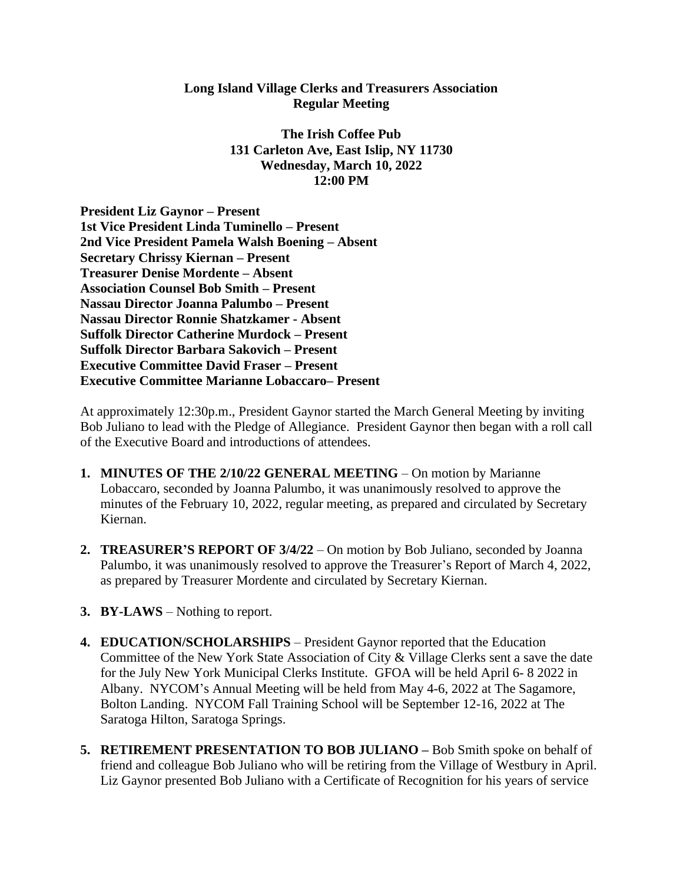## **Long Island Village Clerks and Treasurers Association Regular Meeting**

**The Irish Coffee Pub 131 Carleton Ave, East Islip, NY 11730 Wednesday, March 10, 2022 12:00 PM**

**President Liz Gaynor – Present 1st Vice President Linda Tuminello – Present 2nd Vice President Pamela Walsh Boening – Absent Secretary Chrissy Kiernan – Present Treasurer Denise Mordente – Absent Association Counsel Bob Smith – Present Nassau Director Joanna Palumbo – Present Nassau Director Ronnie Shatzkamer - Absent Suffolk Director Catherine Murdock – Present Suffolk Director Barbara Sakovich – Present Executive Committee David Fraser – Present Executive Committee Marianne Lobaccaro– Present**

At approximately 12:30p.m., President Gaynor started the March General Meeting by inviting Bob Juliano to lead with the Pledge of Allegiance. President Gaynor then began with a roll call of the Executive Board and introductions of attendees.

- **1. MINUTES OF THE 2/10/22 GENERAL MEETING** On motion by Marianne Lobaccaro, seconded by Joanna Palumbo, it was unanimously resolved to approve the minutes of the February 10, 2022, regular meeting, as prepared and circulated by Secretary Kiernan.
- **2. TREASURER'S REPORT OF 3/4/22** On motion by Bob Juliano, seconded by Joanna Palumbo, it was unanimously resolved to approve the Treasurer's Report of March 4, 2022, as prepared by Treasurer Mordente and circulated by Secretary Kiernan.
- **3. BY-LAWS** Nothing to report.
- **4. EDUCATION/SCHOLARSHIPS** President Gaynor reported that the Education Committee of the New York State Association of City & Village Clerks sent a save the date for the July New York Municipal Clerks Institute. GFOA will be held April 6- 8 2022 in Albany. NYCOM's Annual Meeting will be held from May 4-6, 2022 at The Sagamore, Bolton Landing. NYCOM Fall Training School will be September 12-16, 2022 at The Saratoga Hilton, Saratoga Springs.
- **5. RETIREMENT PRESENTATION TO BOB JULIANO –** Bob Smith spoke on behalf of friend and colleague Bob Juliano who will be retiring from the Village of Westbury in April. Liz Gaynor presented Bob Juliano with a Certificate of Recognition for his years of service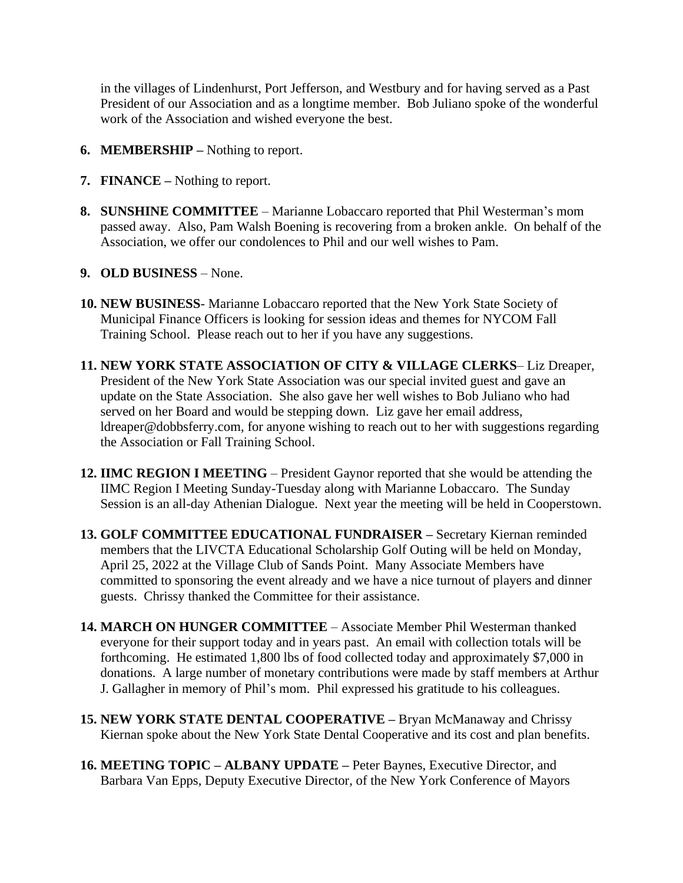in the villages of Lindenhurst, Port Jefferson, and Westbury and for having served as a Past President of our Association and as a longtime member. Bob Juliano spoke of the wonderful work of the Association and wished everyone the best.

- **6. MEMBERSHIP –** Nothing to report.
- **7. FINANCE –** Nothing to report.
- **8. SUNSHINE COMMITTEE** Marianne Lobaccaro reported that Phil Westerman's mom passed away. Also, Pam Walsh Boening is recovering from a broken ankle. On behalf of the Association, we offer our condolences to Phil and our well wishes to Pam.
- **9. OLD BUSINESS** None.
- **10. NEW BUSINESS** Marianne Lobaccaro reported that the New York State Society of Municipal Finance Officers is looking for session ideas and themes for NYCOM Fall Training School. Please reach out to her if you have any suggestions.
- **11. NEW YORK STATE ASSOCIATION OF CITY & VILLAGE CLERKS** Liz Dreaper, President of the New York State Association was our special invited guest and gave an update on the State Association. She also gave her well wishes to Bob Juliano who had served on her Board and would be stepping down. Liz gave her email address, ldreaper@dobbsferry.com, for anyone wishing to reach out to her with suggestions regarding the Association or Fall Training School.
- **12. IIMC REGION I MEETING** President Gaynor reported that she would be attending the IIMC Region I Meeting Sunday-Tuesday along with Marianne Lobaccaro. The Sunday Session is an all-day Athenian Dialogue. Next year the meeting will be held in Cooperstown.
- **13. GOLF COMMITTEE EDUCATIONAL FUNDRAISER –** Secretary Kiernan reminded members that the LIVCTA Educational Scholarship Golf Outing will be held on Monday, April 25, 2022 at the Village Club of Sands Point. Many Associate Members have committed to sponsoring the event already and we have a nice turnout of players and dinner guests. Chrissy thanked the Committee for their assistance.
- **14. MARCH ON HUNGER COMMITTEE** Associate Member Phil Westerman thanked everyone for their support today and in years past. An email with collection totals will be forthcoming. He estimated 1,800 lbs of food collected today and approximately \$7,000 in donations. A large number of monetary contributions were made by staff members at Arthur J. Gallagher in memory of Phil's mom. Phil expressed his gratitude to his colleagues.
- **15. NEW YORK STATE DENTAL COOPERATIVE –** Bryan McManaway and Chrissy Kiernan spoke about the New York State Dental Cooperative and its cost and plan benefits.
- **16. MEETING TOPIC – ALBANY UPDATE –** Peter Baynes, Executive Director, and Barbara Van Epps, Deputy Executive Director, of the New York Conference of Mayors